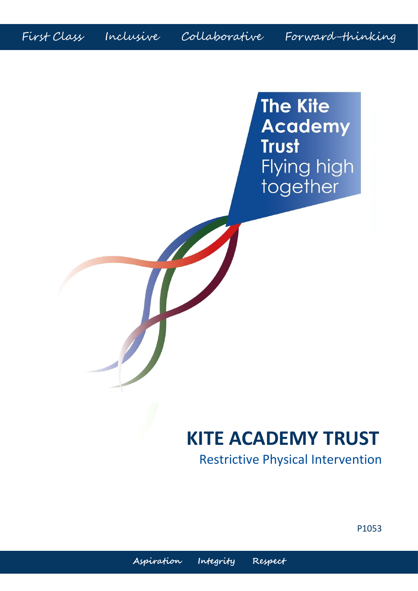First Class Inclusive Collaborative Forward-thinking

H

**The Kite Academy Trust** Flying high together

# **KITE ACADEMY TRUST**

Restrictive Physical Intervention

P1053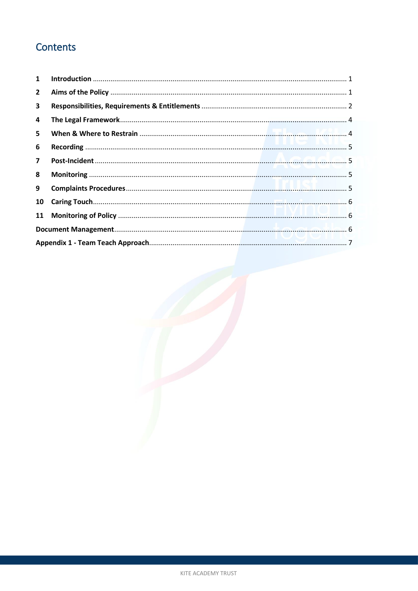## Contents

| $\mathbf{1}$            |  |  |  |  |
|-------------------------|--|--|--|--|
| $\mathbf{2}$            |  |  |  |  |
| 3                       |  |  |  |  |
| 4                       |  |  |  |  |
| 5                       |  |  |  |  |
| 6                       |  |  |  |  |
| $\overline{\mathbf{z}}$ |  |  |  |  |
| 8                       |  |  |  |  |
| 9                       |  |  |  |  |
| 10                      |  |  |  |  |
| 11                      |  |  |  |  |
|                         |  |  |  |  |
|                         |  |  |  |  |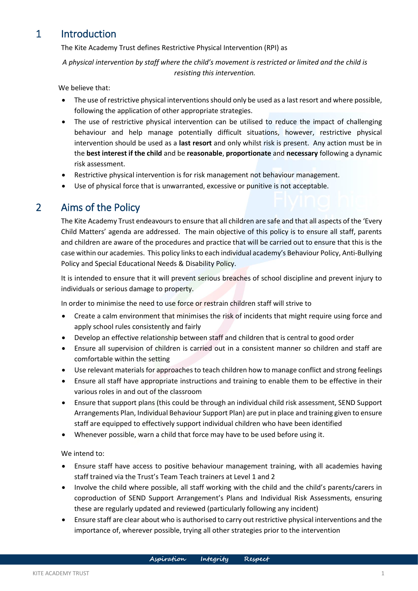### <span id="page-2-0"></span>1 Introduction

The Kite Academy Trust defines Restrictive Physical Intervention (RPI) as

*A physical intervention by staff where the child's movement is restricted or limited and the child is resisting this intervention.*

We believe that:

- The use of restrictive physical interventions should only be used as a last resort and where possible, following the application of other appropriate strategies.
- The use of restrictive physical intervention can be utilised to reduce the impact of challenging behaviour and help manage potentially difficult situations, however, restrictive physical intervention should be used as a **last resort** and only whilst risk is present. Any action must be in the **best interest if the child** and be **reasonable**, **proportionate** and **necessary** following a dynamic risk assessment.
- Restrictive physical intervention is for risk management not behaviour management.
- Use of physical force that is unwarranted, excessive or punitive is not acceptable.

### <span id="page-2-1"></span>2 Aims of the Policy

The Kite Academy Trust endeavours to ensure that all children are safe and that all aspects of the 'Every Child Matters' agenda are addressed. The main objective of this policy is to ensure all staff, parents and children are aware of the procedures and practice that will be carried out to ensure that this is the case within our academies. This policy links to each individual academy's Behaviour Policy, Anti-Bullying Policy and Special Educational Needs & Disability Policy.

It is intended to ensure that it will prevent serious breaches of school discipline and prevent injury to individuals or serious damage to property.

In order to minimise the need to use force or restrain children staff will strive to

- Create a calm environment that minimises the risk of incidents that might require using force and apply school rules consistently and fairly
- Develop an effective relationship between staff and children that is central to good order
- Ensure all supervision of children is carried out in a consistent manner so children and staff are comfortable within the setting
- Use relevant materials for approaches to teach children how to manage conflict and strong feelings
- Ensure all staff have appropriate instructions and training to enable them to be effective in their various roles in and out of the classroom
- Ensure that support plans (this could be through an individual child risk assessment, SEND Support Arrangements Plan, Individual Behaviour Support Plan) are put in place and training given to ensure staff are equipped to effectively support individual children who have been identified
- Whenever possible, warn a child that force may have to be used before using it.

We intend to:

- Ensure staff have access to positive behaviour management training, with all academies having staff trained via the Trust's Team Teach trainers at Level 1 and 2
- Involve the child where possible, all staff working with the child and the child's parents/carers in coproduction of SEND Support Arrangement's Plans and Individual Risk Assessments, ensuring these are regularly updated and reviewed (particularly following any incident)
- Ensure staff are clear about who is authorised to carry out restrictive physical interventions and the importance of, wherever possible, trying all other strategies prior to the intervention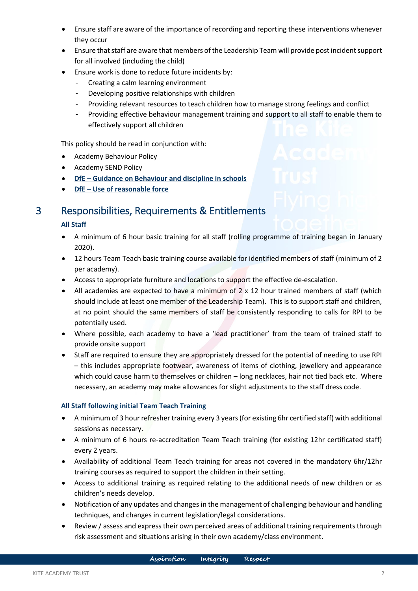- Ensure staff are aware of the importance of recording and reporting these interventions whenever they occur
- Ensure that staff are aware that members of the Leadership Team will provide post incident support for all involved (including the child)
- Ensure work is done to reduce future incidents by:
	- Creating a calm learning environment
	- Developing positive relationships with children
	- Providing relevant resources to teach children how to manage strong feelings and conflict
	- Providing effective behaviour management training and support to all staff to enable them to effectively support all children

This policy should be read in conjunction with:

- Academy Behaviour Policy
- Academy SEND Policy
- **DfE – [Guidance on Behaviour and discipline in schools](https://assets.publishing.service.gov.uk/government/uploads/system/uploads/attachment_data/file/488034/Behaviour_and_Discipline_in_Schools_-_A_guide_for_headteachers_and_School_Staff.pdf)**
- **DfE – [Use of reasonable force](https://assets.publishing.service.gov.uk/government/uploads/system/uploads/attachment_data/file/444051/Use_of_reasonable_force_advice_Reviewed_July_2015.pdf)**

#### <span id="page-3-0"></span>3 Responsibilities, Requirements & Entitlements

#### **All Staff**

- A minimum of 6 hour basic training for all staff (rolling programme of training began in January 2020).
- 12 hours Team Teach basic training course available for identified members of staff (minimum of 2 per academy).
- Access to appropriate furniture and locations to support the effective de-escalation.
- All academies are expected to have a minimum of 2 x 12 hour trained members of staff (which should include at least one member of the Leadership Team). This is to support staff and children, at no point should the same members of staff be consistently responding to calls for RPI to be potentially used.
- Where possible, each academy to have a 'lead practitioner' from the team of trained staff to provide onsite support
- Staff are required to ensure they are appropriately dressed for the potential of needing to use RPI – this includes appropriate footwear, awareness of items of clothing, jewellery and appearance which could cause harm to themselves or children – long necklaces, hair not tied back etc. Where necessary, an academy may make allowances for slight adjustments to the staff dress code.

#### **All Staff following initial Team Teach Training**

- A minimum of 3 hour refresher training every 3 years (for existing 6hr certified staff) with additional sessions as necessary.
- A minimum of 6 hours re-accreditation Team Teach training (for existing 12hr certificated staff) every 2 years.
- Availability of additional Team Teach training for areas not covered in the mandatory 6hr/12hr training courses as required to support the children in their setting.
- Access to additional training as required relating to the additional needs of new children or as children's needs develop.
- Notification of any updates and changes in the management of challenging behaviour and handling techniques, and changes in current legislation/legal considerations.
- Review / assess and express their own perceived areas of additional training requirements through risk assessment and situations arising in their own academy/class environment.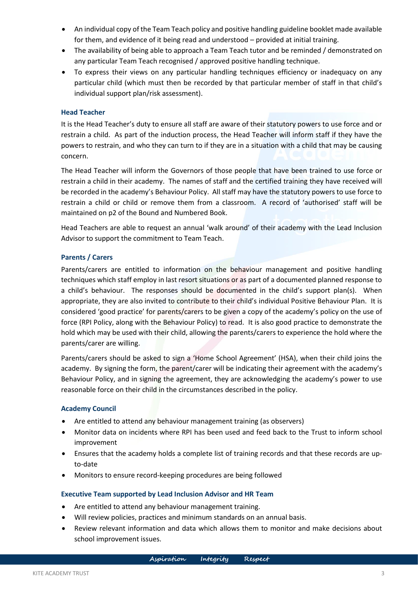- An individual copy of the Team Teach policy and positive handling guideline booklet made available for them, and evidence of it being read and understood – provided at initial training.
- The availability of being able to approach a Team Teach tutor and be reminded / demonstrated on any particular Team Teach recognised / approved positive handling technique.
- To express their views on any particular handling techniques efficiency or inadequacy on any particular child (which must then be recorded by that particular member of staff in that child's individual support plan/risk assessment).

#### **Head Teacher**

It is the Head Teacher's duty to ensure all staff are aware of their statutory powers to use force and or restrain a child. As part of the induction process, the Head Teacher will inform staff if they have the powers to restrain, and who they can turn to if they are in a situation with a child that may be causing concern.

The Head Teacher will inform the Governors of those people that have been trained to use force or restrain a child in their academy. The names of staff and the certified training they have received will be recorded in the academy's Behaviour Policy. All staff may have the statutory powers to use force to restrain a child or child or remove them from a classroom. A record of 'authorised' staff will be maintained on p2 of the Bound and Numbered Book.

Head Teachers are able to request an annual 'walk around' of their academy with the Lead Inclusion Advisor to support the commitment to Team Teach.

#### **Parents / Carers**

Parents/carers are entitled to information on the behaviour management and positive handling techniques which staff employ in last resort situations or as part of a documented planned response to a child's behaviour. The responses should be documented in the child's support plan(s). When appropriate, they are also invited to contribute to their child's individual Positive Behaviour Plan. It is considered 'good practice' for parents/carers to be given a copy of the academy's policy on the use of force (RPI Policy, along with the Behaviour Policy) to read. It is also good practice to demonstrate the hold which may be used with their child, allowing the parents/carers to experience the hold where the parents/carer are willing.

Parents/carers should be asked to sign a 'Home School Agreement' (HSA), when their child joins the academy. By signing the form, the parent/carer will be indicating their agreement with the academy's Behaviour Policy, and in signing the agreement, they are acknowledging the academy's power to use reasonable force on their child in the circumstances described in the policy.

#### **Academy Council**

- Are entitled to attend any behaviour management training (as observers)
- Monitor data on incidents where RPI has been used and feed back to the Trust to inform school improvement
- Ensures that the academy holds a complete list of training records and that these records are upto-date
- Monitors to ensure record-keeping procedures are being followed

#### **Executive Team supported by Lead Inclusion Advisor and HR Team**

- Are entitled to attend any behaviour management training.
- Will review policies, practices and minimum standards on an annual basis.
- Review relevant information and data which allows them to monitor and make decisions about school improvement issues.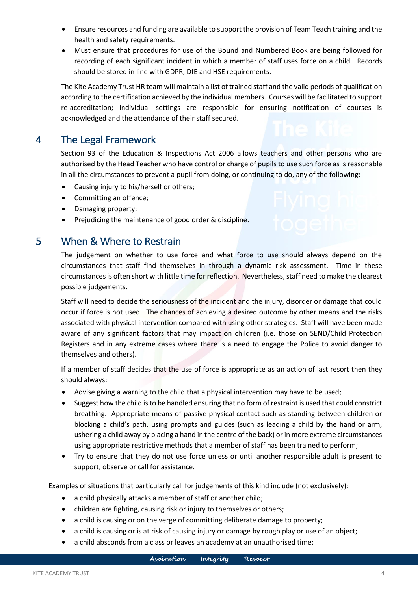- Ensure resources and funding are available to support the provision of Team Teach training and the health and safety requirements.
- Must ensure that procedures for use of the Bound and Numbered Book are being followed for recording of each significant incident in which a member of staff uses force on a child. Records should be stored in line with GDPR, DfE and HSE requirements.

The Kite Academy Trust HR team will maintain a list of trained staff and the valid periods of qualification according to the certification achieved by the individual members. Courses will be facilitated to support re-accreditation; individual settings are responsible for ensuring notification of courses is acknowledged and the attendance of their staff secured.

### <span id="page-5-0"></span>4 The Legal Framework

Section 93 of the Education & Inspections Act 2006 allows teachers and other persons who are authorised by the Head Teacher who have control or charge of pupils to use such force as is reasonable in all the circumstances to prevent a pupil from doing, or continuing to do, any of the following:

- Causing injury to his/herself or others;
- Committing an offence;
- Damaging property;
- Prejudicing the maintenance of good order & discipline.

#### <span id="page-5-1"></span>5 When & Where to Restrain

The judgement on whether to use force and what force to use should always depend on the circumstances that staff find themselves in through a dynamic risk assessment. Time in these circumstances is often short with little time for reflection. Nevertheless, staff need to make the clearest possible judgements.

Staff will need to decide the seriousness of the incident and the injury, disorder or damage that could occur if force is not used. The chances of achieving a desired outcome by other means and the risks associated with physical intervention compared with using other strategies. Staff will have been made aware of any significant factors that may impact on children (i.e. those on SEND/Child Protection Registers and in any extreme cases where there is a need to engage the Police to avoid danger to themselves and others).

If a member of staff decides that the use of force is appropriate as an action of last resort then they should always:

- Advise giving a warning to the child that a physical intervention may have to be used;
- Suggest how the child is to be handled ensuring that no form of restraint is used that could constrict breathing. Appropriate means of passive physical contact such as standing between children or blocking a child's path, using prompts and guides (such as leading a child by the hand or arm, ushering a child away by placing a hand in the centre of the back) or in more extreme circumstances using appropriate restrictive methods that a member of staff has been trained to perform;
- Try to ensure that they do not use force unless or until another responsible adult is present to support, observe or call for assistance.

Examples of situations that particularly call for judgements of this kind include (not exclusively):

- a child physically attacks a member of staff or another child;
- children are fighting, causing risk or injury to themselves or others;
- a child is causing or on the verge of committing deliberate damage to property;
- a child is causing or is at risk of causing injury or damage by rough play or use of an object;
- a child absconds from a class or leaves an academy at an unauthorised time;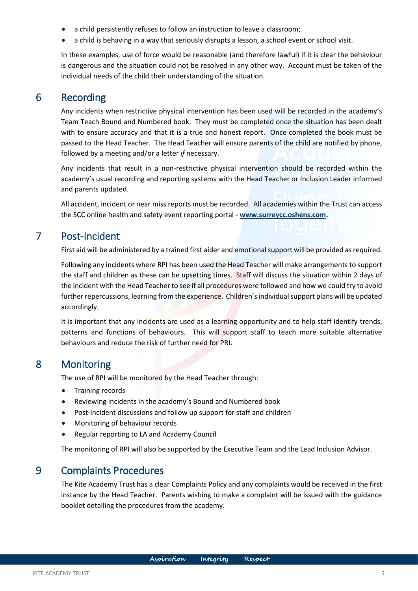- a child persistently refuses to follow an instruction to leave a classroom;
- a child is behaving in a way that seriously disrupts a lesson, a school event or school visit.

In these examples, use of force would be reasonable (and therefore lawful) if it is clear the behaviour is dangerous and the situation could not be resolved in any other way. Account must be taken of the individual needs of the child their understanding of the situation.

### <span id="page-6-0"></span>6 Recording

Any incidents when restrictive physical intervention has been used will be recorded in the academy's Team Teach Bound and Numbered book. They must be completed once the situation has been dealt with to ensure accuracy and that it is a true and honest report. Once completed the book must be passed to the Head Teacher. The Head Teacher will ensure parents of the child are notified by phone, followed by a meeting and/or a letter *if* necessary.

Any incidents that result in a non-restrictive physical intervention should be recorded within the academy's usual recording and reporting systems with the Head Teacher or Inclusion Leader informed and parents updated.

All accident, incident or near miss reports must be recorded. All academies within the Trust can access the SCC online health and safety event reporting portal - **[www.surreycc.oshens.com.](http://www.surreycc.oshens.com/)**

### <span id="page-6-1"></span>7 Post-Incident

First aid will be administered by a trained first aider and emotional support will be provided as required.

Following any incidents where RPI has been used the Head Teacher will make arrangements to support the staff and children as these can be upsetting times. Staff will discuss the situation within 2 days of the incident with the Head Teacher to see if all procedures were followed and how we could try to avoid further repercussions, learning from the experience. Children's individual support plans will be updated accordingly.

It is important that any incidents are used as a learning opportunity and to help staff identify trends, patterns and functions of behaviours. This will support staff to teach more suitable alternative behaviours and reduce the risk of further need for PRI.

#### <span id="page-6-2"></span>8 Monitoring

The use of RPI will be monitored by the Head Teacher through:

- Training records
- Reviewing incidents in the academy's Bound and Numbered book
- Post-incident discussions and follow up support for staff and children
- Monitoring of behaviour records
- Regular reporting to LA and Academy Council

The monitoring of RPI will also be supported by the Executive Team and the Lead Inclusion Advisor.

### <span id="page-6-3"></span>9 Complaints Procedures

The Kite Academy Trust has a clear Complaints Policy and any complaints would be received in the first instance by the Head Teacher. Parents wishing to make a complaint will be issued with the guidance booklet detailing the procedures from the academy.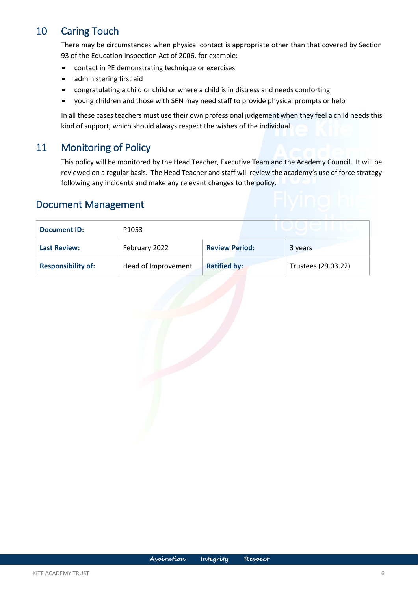### <span id="page-7-0"></span>10 Caring Touch

There may be circumstances when physical contact is appropriate other than that covered by Section 93 of the Education Inspection Act of 2006, for example:

- contact in PE demonstrating technique or exercises
- administering first aid
- congratulating a child or child or where a child is in distress and needs comforting
- young children and those with SEN may need staff to provide physical prompts or help

In all these cases teachers must use their own professional judgement when they feel a child needs this kind of support, which should always respect the wishes of the individual.

### <span id="page-7-1"></span>11 Monitoring of Policy

This policy will be monitored by the Head Teacher, Executive Team and the Academy Council. It will be reviewed on a regular basis. The Head Teacher and staff will review the academy's use of force strategy following any incidents and make any relevant changes to the policy.

### <span id="page-7-2"></span>Document Management

| <b>Document ID:</b>       | P <sub>1053</sub>   |                       |  |                     |  |
|---------------------------|---------------------|-----------------------|--|---------------------|--|
| <b>Last Review:</b>       | February 2022       | <b>Review Period:</b> |  | 3 years             |  |
| <b>Responsibility of:</b> | Head of Improvement | <b>Ratified by:</b>   |  | Trustees (29.03.22) |  |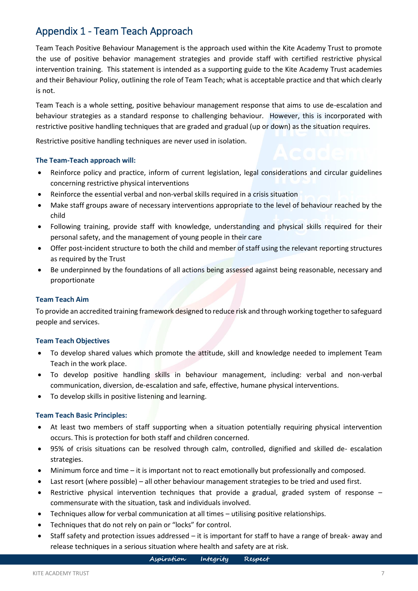### <span id="page-8-0"></span>Appendix 1 - Team Teach Approach

Team Teach Positive Behaviour Management is the approach used within the Kite Academy Trust to promote the use of positive behavior management strategies and provide staff with certified restrictive physical intervention training. This statement is intended as a supporting guide to the Kite Academy Trust academies and their Behaviour Policy, outlining the role of Team Teach; what is acceptable practice and that which clearly is not.

Team Teach is a whole setting, positive behaviour management response that aims to use de-escalation and behaviour strategies as a standard response to challenging behaviour. However, this is incorporated with restrictive positive handling techniques that are graded and gradual (up or down) as the situation requires.

Restrictive positive handling techniques are never used in isolation.

#### **The Team-Teach approach will:**

- Reinforce policy and practice, inform of current legislation, legal considerations and circular guidelines concerning restrictive physical interventions
- Reinforce the essential verbal and non-verbal skills required in a crisis situation
- Make staff groups aware of necessary interventions appropriate to the level of behaviour reached by the child
- Following training, provide staff with knowledge, understanding and physical skills required for their personal safety, and the management of young people in their care
- Offer post-incident structure to both the child and member of staff using the relevant reporting structures as required by the Trust
- Be underpinned by the foundations of all actions being assessed against being reasonable, necessary and proportionate

#### **Team Teach Aim**

To provide an accredited training framework designed to reduce risk and through working together to safeguard people and services.

#### **Team Teach Objectives**

- To develop shared values which promote the attitude, skill and knowledge needed to implement Team Teach in the work place.
- To develop positive handling skills in behaviour management, including: verbal and non-verbal communication, diversion, de-escalation and safe, effective, humane physical interventions.
- To develop skills in positive listening and learning.

#### **Team Teach Basic Principles:**

- At least two members of staff supporting when a situation potentially requiring physical intervention occurs. This is protection for both staff and children concerned.
- 95% of crisis situations can be resolved through calm, controlled, dignified and skilled de- escalation strategies.
- Minimum force and time it is important not to react emotionally but professionally and composed.
- Last resort (where possible) all other behaviour management strategies to be tried and used first.
- Restrictive physical intervention techniques that provide a gradual, graded system of response  $$ commensurate with the situation, task and individuals involved.
- Techniques allow for verbal communication at all times utilising positive relationships.
- Techniques that do not rely on pain or "locks" for control.
- Staff safety and protection issues addressed it is important for staff to have a range of break- away and release techniques in a serious situation where health and safety are at risk.